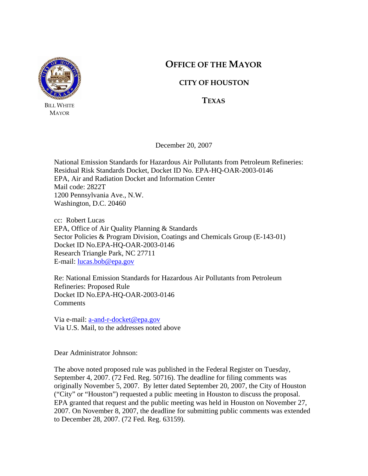

BILL WHITE MAYOR

# **OFFICE OF THE MAYOR**

# **CITY OF HOUSTON**

**TEXAS**

December 20, 2007

National Emission Standards for Hazardous Air Pollutants from Petroleum Refineries: Residual Risk Standards Docket, Docket ID No. EPA-HQ-OAR-2003-0146 EPA, Air and Radiation Docket and Information Center Mail code: 2822T 1200 Pennsylvania Ave., N.W. Washington, D.C. 20460

cc: Robert Lucas EPA, Office of Air Quality Planning & Standards Sector Policies & Program Division, Coatings and Chemicals Group (E-143-01) Docket ID No.EPA-HQ-OAR-2003-0146 Research Triangle Park, NC 27711 E-mail: lucas.bob@epa.gov

Re: National Emission Standards for Hazardous Air Pollutants from Petroleum Refineries: Proposed Rule Docket ID No.EPA-HQ-OAR-2003-0146 Comments

Via e-mail: a-and-r-docket@epa.gov Via U.S. Mail, to the addresses noted above

Dear Administrator Johnson:

The above noted proposed rule was published in the Federal Register on Tuesday, September 4, 2007. (72 Fed. Reg. 50716). The deadline for filing comments was originally November 5, 2007. By letter dated September 20, 2007, the City of Houston ("City" or "Houston") requested a public meeting in Houston to discuss the proposal. EPA granted that request and the public meeting was held in Houston on November 27, 2007. On November 8, 2007, the deadline for submitting public comments was extended to December 28, 2007. (72 Fed. Reg. 63159).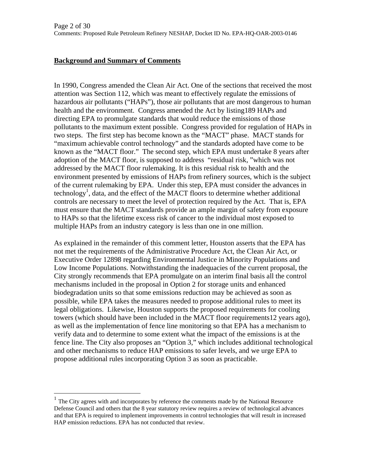### **Background and Summary of Comments**

 $\overline{a}$ 

In 1990, Congress amended the Clean Air Act. One of the sections that received the most attention was Section 112, which was meant to effectively regulate the emissions of hazardous air pollutants ("HAPs"), those air pollutants that are most dangerous to human health and the environment. Congress amended the Act by listing189 HAPs and directing EPA to promulgate standards that would reduce the emissions of those pollutants to the maximum extent possible. Congress provided for regulation of HAPs in two steps. The first step has become known as the "MACT" phase. MACT stands for "maximum achievable control technology" and the standards adopted have come to be known as the "MACT floor." The second step, which EPA must undertake 8 years after adoption of the MACT floor, is supposed to address "residual risk, "which was not addressed by the MACT floor rulemaking. It is this residual risk to health and the environment presented by emissions of HAPs from refinery sources, which is the subject of the current rulemaking by EPA. Under this step, EPA must consider the advances in technology<sup>1</sup>, data, and the effect of the MACT floors to determine whether additional controls are necessary to meet the level of protection required by the Act. That is, EPA must ensure that the MACT standards provide an ample margin of safety from exposure to HAPs so that the lifetime excess risk of cancer to the individual most exposed to multiple HAPs from an industry category is less than one in one million.

As explained in the remainder of this comment letter, Houston asserts that the EPA has not met the requirements of the Administrative Procedure Act, the Clean Air Act, or Executive Order 12898 regarding Environmental Justice in Minority Populations and Low Income Populations. Notwithstanding the inadequacies of the current proposal, the City strongly recommends that EPA promulgate on an interim final basis all the control mechanisms included in the proposal in Option 2 for storage units and enhanced biodegradation units so that some emissions reduction may be achieved as soon as possible, while EPA takes the measures needed to propose additional rules to meet its legal obligations. Likewise, Houston supports the proposed requirements for cooling towers (which should have been included in the MACT floor requirements12 years ago), as well as the implementation of fence line monitoring so that EPA has a mechanism to verify data and to determine to some extent what the impact of the emissions is at the fence line. The City also proposes an "Option 3," which includes additional technological and other mechanisms to reduce HAP emissions to safer levels, and we urge EPA to propose additional rules incorporating Option 3 as soon as practicable.

 $1$  The City agrees with and incorporates by reference the comments made by the National Resource Defense Council and others that the 8 year statutory review requires a review of technological advances and that EPA is required to implement improvements in control technologies that will result in increased HAP emission reductions. EPA has not conducted that review.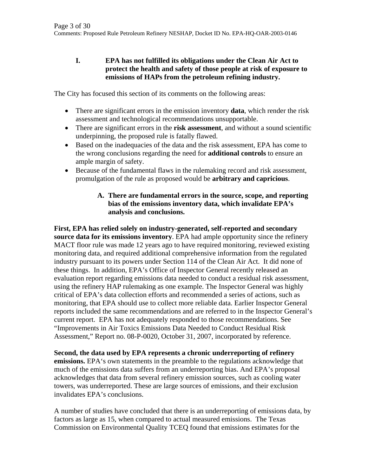### **I. EPA has not fulfilled its obligations under the Clean Air Act to protect the health and safety of those people at risk of exposure to emissions of HAPs from the petroleum refining industry.**

The City has focused this section of its comments on the following areas:

- There are significant errors in the emission inventory **data**, which render the risk assessment and technological recommendations unsupportable.
- There are significant errors in the **risk assessment**, and without a sound scientific underpinning, the proposed rule is fatally flawed.
- Based on the inadequacies of the data and the risk assessment, EPA has come to the wrong conclusions regarding the need for **additional controls** to ensure an ample margin of safety.
- Because of the fundamental flaws in the rulemaking record and risk assessment, promulgation of the rule as proposed would be **arbitrary and capricious**.

### **A. There are fundamental errors in the source, scope, and reporting bias of the emissions inventory data, which invalidate EPA's analysis and conclusions.**

**First, EPA has relied solely on industry-generated, self-reported and secondary source data for its emissions inventory**. EPA had ample opportunity since the refinery MACT floor rule was made 12 years ago to have required monitoring, reviewed existing monitoring data, and required additional comprehensive information from the regulated industry pursuant to its powers under Section 114 of the Clean Air Act. It did none of these things. In addition, EPA's Office of Inspector General recently released an evaluation report regarding emissions data needed to conduct a residual risk assessment, using the refinery HAP rulemaking as one example. The Inspector General was highly critical of EPA's data collection efforts and recommended a series of actions, such as monitoring, that EPA should use to collect more reliable data. Earlier Inspector General reports included the same recommendations and are referred to in the Inspector General's current report. EPA has not adequately responded to those recommendations. See "Improvements in Air Toxics Emissions Data Needed to Conduct Residual Risk Assessment," Report no. 08-P-0020, October 31, 2007, incorporated by reference.

**Second, the data used by EPA represents a chronic underreporting of refinery emissions.** EPA's own statements in the preamble to the regulations acknowledge that much of the emissions data suffers from an underreporting bias. And EPA's proposal acknowledges that data from several refinery emission sources, such as cooling water towers, was underreported. These are large sources of emissions, and their exclusion invalidates EPA's conclusions.

A number of studies have concluded that there is an underreporting of emissions data, by factors as large as 15, when compared to actual measured emissions. The Texas Commission on Environmental Quality TCEQ found that emissions estimates for the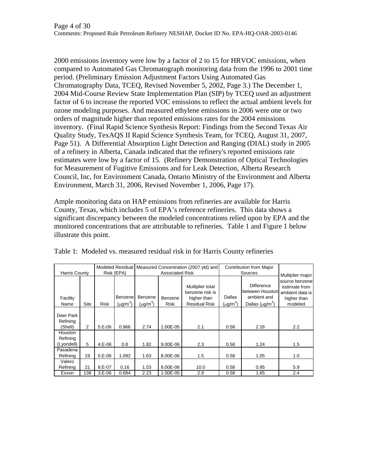2000 emissions inventory were low by a factor of 2 to 15 for HRVOC emissions, when compared to Automated Gas Chromatograph monitoring data from the 1996 to 2001 time period. (Preliminary Emission Adjustment Factors Using Automated Gas Chromatography Data, TCEQ, Revised November 5, 2002, Page 3.) The December 1, 2004 Mid-Course Review State Implementation Plan (SIP) by TCEQ used an adjustment factor of 6 to increase the reported VOC emissions to reflect the actual ambient levels for ozone modeling purposes. And measured ethylene emissions in 2006 were one or two orders of magnitude higher than reported emissions rates for the 2004 emissions inventory. (Final Rapid Science Synthesis Report: Findings from the Second Texas Air Quality Study, TexAQS II Rapid Science Synthesis Team, for TCEQ, August 31, 2007, Page 51). A Differential Absorption Light Detection and Ranging (DIAL) study in 2005 of a refinery in Alberta, Canada indicated that the refinery's reported emissions rate estimates were low by a factor of 15. (Refinery Demonstration of Optical Technologies for Measurement of Fugitive Emissions and for Leak Detection, Alberta Research Council, Inc, for Environment Canada, Ontario Ministry of the Environment and Alberta Environment, March 31, 2006, Revised November 1, 2006, Page 17).

Ample monitoring data on HAP emissions from refineries are available for Harris County, Texas, which includes 5 of EPA's reference refineries. This data shows a significant discrepancy between the modeled concentrations relied upon by EPA and the monitored concentrations that are attributable to refineries. Table 1 and Figure 1 below illustrate this point.

|                                   |                |             |                          | Modeled Residual Measured Concentration (2007 ytd) and |                 |                                                                            | Contribution from Major |                                                                      |                                                                               |
|-----------------------------------|----------------|-------------|--------------------------|--------------------------------------------------------|-----------------|----------------------------------------------------------------------------|-------------------------|----------------------------------------------------------------------|-------------------------------------------------------------------------------|
| <b>Harris County</b>              |                | Risk (EPA)  |                          | <b>Associated Risk</b>                                 |                 |                                                                            | Sources                 |                                                                      | Mulitplier major                                                              |
| Facility<br>Name                  | <b>Site</b>    | <b>Risk</b> | Benzene<br>$(\mu g/m^3)$ | Benzene<br>$(\mu g/m^3)$                               | Benzene<br>Risk | Mulitplier total<br>benzene risk is<br>higher than<br><b>Residual Risk</b> | Dallas<br>$(\mu g/m^3)$ | Difference<br>between Houston<br>ambient and<br>Dallas $(\mu q/m^3)$ | source benzenel<br>estimate from<br>ambient data is<br>higher than<br>modeled |
| Deer Park<br>Refining<br>(Shell)  | $\overline{2}$ | $5.E-06$    | 0.966                    | 2.74                                                   | 1.00E-05        | 2.1                                                                        | 0.58                    | 2.16                                                                 | 2.2                                                                           |
| Houston<br>Refining<br>(Lyondell) | 5              | $4.E-06$    | 0.8                      | 1.82                                                   | 9.00E-06        | 2.3                                                                        | 0.58                    | 1.24                                                                 | 1.5                                                                           |
| Pasadena<br>Refining              | 19             | $5.E-06$    | 1.092                    | 1.63                                                   | 8.00E-06        | 1.5                                                                        | 0.58                    | 1.05                                                                 | 1.0                                                                           |
| Valero<br>Refining                | 21             | $8.E-07$    | 0.16                     | 1.53                                                   | 8.00E-06        | 10.0                                                                       | 0.58                    | 0.95                                                                 | 5.9                                                                           |
| Exxon                             | 138            | $3.E-06$    | 0.684                    | 2.23                                                   | 1.00E-05        | 2.9                                                                        | 0.58                    | 1.65                                                                 | 2.4                                                                           |

Table 1: Modeled vs. measured residual risk in for Harris County refineries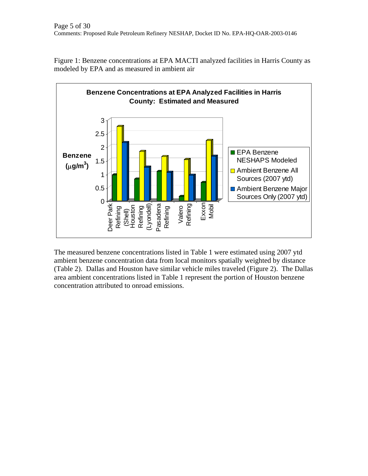

Figure 1: Benzene concentrations at EPA MACTI analyzed facilities in Harris County as modeled by EPA and as measured in ambient air

The measured benzene concentrations listed in Table 1 were estimated using 2007 ytd ambient benzene concentration data from local monitors spatially weighted by distance (Table 2). Dallas and Houston have similar vehicle miles traveled (Figure 2). The Dallas area ambient concentrations listed in Table 1 represent the portion of Houston benzene concentration attributed to onroad emissions.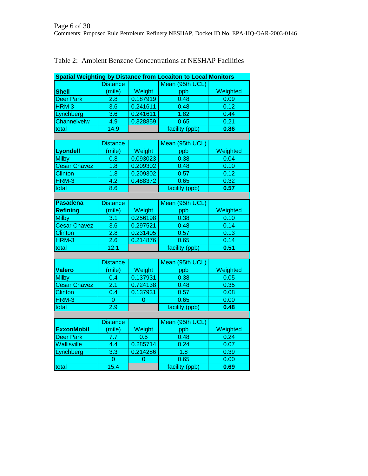| <b>Spatial Weighting by Distance from Locaiton to Local Monitors</b> |                  |          |                 |          |  |  |  |  |
|----------------------------------------------------------------------|------------------|----------|-----------------|----------|--|--|--|--|
|                                                                      | <b>Distance</b>  |          | Mean (95th UCL) |          |  |  |  |  |
| <b>Shell</b>                                                         | (mile)           | Weight   | ppb             | Weighted |  |  |  |  |
| <b>Deer Park</b>                                                     | 2.8              | 0.187919 | 0.48            | 0.09     |  |  |  |  |
| HRM <sub>3</sub>                                                     | 3.6              | 0.241611 | 0.48            | 0.12     |  |  |  |  |
| Lynchberg                                                            | $\overline{3.6}$ | 0.241611 | 1.82            | 0.44     |  |  |  |  |
| Channelveiw                                                          | 4.9              | 0.328859 | 0.65            | 0.21     |  |  |  |  |
| total                                                                | 14.9             |          | facility (ppb)  | 0.86     |  |  |  |  |
|                                                                      |                  |          |                 |          |  |  |  |  |
|                                                                      | <b>Distance</b>  |          | Mean (95th UCL) |          |  |  |  |  |
| <b>Lyondell</b>                                                      | (mile)           | Weight   | ppb             | Weighted |  |  |  |  |
| <b>Milby</b>                                                         | 0.8              | 0.093023 | 0.38            | 0.04     |  |  |  |  |
| <b>Cesar Chavez</b>                                                  | 1.8              | 0.209302 | 0.48            | 0.10     |  |  |  |  |
| Clinton                                                              | 1.8              | 0.209302 | 0.57            | 0.12     |  |  |  |  |
| HRM-3                                                                | 4.2              | 0.488372 | 0.65            | 0.32     |  |  |  |  |
| total                                                                | 8.6              |          | facility (ppb)  | 0.57     |  |  |  |  |
|                                                                      |                  |          |                 |          |  |  |  |  |
| <b>Pasadena</b>                                                      | <b>Distance</b>  |          | Mean (95th UCL) |          |  |  |  |  |
| <b>Refining</b>                                                      | (mile)           | Weight   | ppb             | Weighted |  |  |  |  |
| <b>Milby</b>                                                         | 3.1              | 0.256198 | 0.38            | 0.10     |  |  |  |  |
| <b>Cesar Chavez</b>                                                  | $\overline{3.6}$ | 0.297521 | 0.48            | 0.14     |  |  |  |  |
| Clinton                                                              | 2.8              | 0.231405 | 0.57            | 0.13     |  |  |  |  |
| HRM-3                                                                | 2.6              | 0.214876 | 0.65            | 0.14     |  |  |  |  |
| total                                                                | 12.1             |          | facility (ppb)  | 0.51     |  |  |  |  |
|                                                                      |                  |          |                 |          |  |  |  |  |
|                                                                      | <b>Distance</b>  |          | Mean (95th UCL) |          |  |  |  |  |
| <b>Valero</b>                                                        | (mile)           | Weight   | ppb             | Weighted |  |  |  |  |
| <b>Milby</b>                                                         | 0.4              | 0.137931 | 0.38            | 0.05     |  |  |  |  |
| <b>Cesar Chavez</b>                                                  | 2.1              | 0.724138 | 0.48            | 0.35     |  |  |  |  |
| <b>Clinton</b>                                                       | 0.4              | 0.137931 | 0.57            | 0.08     |  |  |  |  |
| HRM-3                                                                | $\overline{0}$   | 0        | 0.65            | 0.00     |  |  |  |  |
| total                                                                | 2.9              |          | facility (ppb)  | 0.48     |  |  |  |  |
|                                                                      |                  |          |                 |          |  |  |  |  |
|                                                                      | <b>Distance</b>  |          | Mean (95th UCL) |          |  |  |  |  |
| <b>ExxonMobil</b>                                                    | (mile)           | Weight   | ppb             | Weighted |  |  |  |  |
| <b>Deer Park</b>                                                     | 7.7              | 0.5      | 0.48            | 0.24     |  |  |  |  |
| <b>Wallisville</b>                                                   | 4.4              | 0.285714 | 0.24            | 0.07     |  |  |  |  |
| Lynchberg                                                            | $\overline{3.3}$ | 0.214286 | 1.8             | 0.39     |  |  |  |  |
|                                                                      | $\overline{0}$   | 0        | 0.65            | 0.00     |  |  |  |  |
| total                                                                | 15.4             |          | facility (ppb)  | 0.69     |  |  |  |  |

# Table 2: Ambient Benzene Concentrations at NESHAP Facilities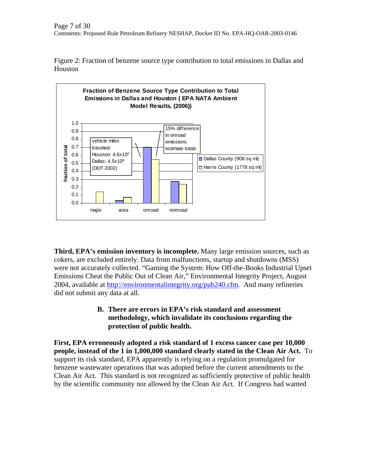Figure 2: Fraction of benzene source type contribution to total emissions in Dallas and Houston



**Third, EPA's emission inventory is incomplete.** Many large emission sources, such as cokers, are excluded entirely. Data from malfunctions, startup and shutdowns (MSS) were not accurately collected. "Gaming the System: How Off-the-Books Industrial Upset Emissions Cheat the Public Out of Clean Air," Environmental Integrity Project, August 2004, available at http://environmentalintegrity.org/pub240.cfm. And many refineries did not submit any data at all.

## **B. There are errors in EPA's risk standard and assessment methodology, which invalidate its conclusions regarding the protection of public health.**

**First, EPA erroneously adopted a risk standard of 1 excess cancer case per 10,000 people, instead of the 1 in 1,000,000 standard clearly stated in the Clean Air Act.** To support its risk standard, EPA apparently is relying on a regulation promulgated for benzene wastewater operations that was adopted before the current amendments to the Clean Air Act. This standard is not recognized as sufficiently protective of public health by the scientific community nor allowed by the Clean Air Act. If Congress had wanted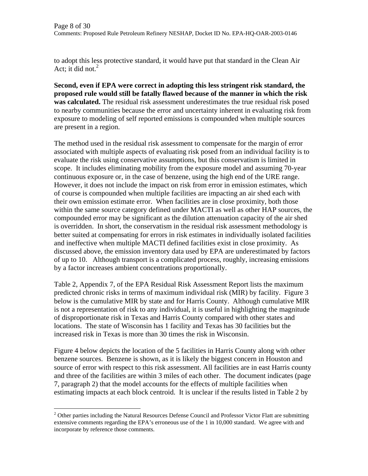to adopt this less protective standard, it would have put that standard in the Clean Air Act; it did not. $^{2}$ 

**Second, even if EPA were correct in adopting this less stringent risk standard, the proposed rule would still be fatally flawed because of the manner in which the risk was calculated.** The residual risk assessment underestimates the true residual risk posed to nearby communities because the error and uncertainty inherent in evaluating risk from exposure to modeling of self reported emissions is compounded when multiple sources are present in a region.

The method used in the residual risk assessment to compensate for the margin of error associated with multiple aspects of evaluating risk posed from an individual facility is to evaluate the risk using conservative assumptions, but this conservatism is limited in scope. It includes eliminating mobility from the exposure model and assuming 70-year continuous exposure or, in the case of benzene, using the high end of the URE range. However, it does not include the impact on risk from error in emission estimates, which of course is compounded when multiple facilities are impacting an air shed each with their own emission estimate error. When facilities are in close proximity, both those within the same source category defined under MACTI as well as other HAP sources, the compounded error may be significant as the dilution attenuation capacity of the air shed is overridden. In short, the conservatism in the residual risk assessment methodology is better suited at compensating for errors in risk estimates in individually isolated facilities and ineffective when multiple MACTI defined facilities exist in close proximity. As discussed above, the emission inventory data used by EPA are underestimated by factors of up to 10. Although transport is a complicated process, roughly, increasing emissions by a factor increases ambient concentrations proportionally.

Table 2, Appendix 7, of the EPA Residual Risk Assessment Report lists the maximum predicted chronic risks in terms of maximum individual risk (MIR) by facility. Figure 3 below is the cumulative MIR by state and for Harris County. Although cumulative MIR is not a representation of risk to any individual, it is useful in highlighting the magnitude of disproportionate risk in Texas and Harris County compared with other states and locations. The state of Wisconsin has 1 facility and Texas has 30 facilities but the increased risk in Texas is more than 30 times the risk in Wisconsin.

Figure 4 below depicts the location of the 5 facilities in Harris County along with other benzene sources. Benzene is shown, as it is likely the biggest concern in Houston and source of error with respect to this risk assessment. All facilities are in east Harris county and three of the facilities are within 3 miles of each other. The document indicates (page 7, paragraph 2) that the model accounts for the effects of multiple facilities when estimating impacts at each block centroid. It is unclear if the results listed in Table 2 by

1

<sup>&</sup>lt;sup>2</sup> Other parties including the Natural Resources Defense Council and Professor Victor Flatt are submitting extensive comments regarding the EPA's erroneous use of the 1 in 10,000 standard. We agree with and incorporate by reference those comments.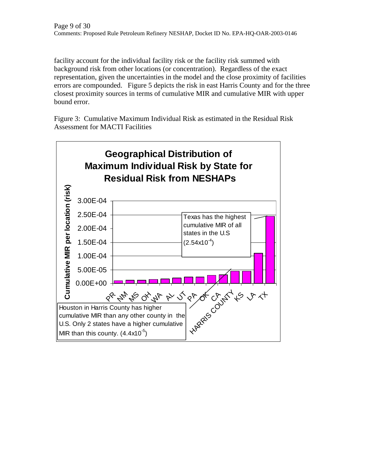facility account for the individual facility risk or the facility risk summed with background risk from other locations (or concentration). Regardless of the exact representation, given the uncertainties in the model and the close proximity of facilities errors are compounded. Figure 5 depicts the risk in east Harris County and for the three closest proximity sources in terms of cumulative MIR and cumulative MIR with upper bound error.

Figure 3: Cumulative Maximum Individual Risk as estimated in the Residual Risk Assessment for MACTI Facilities

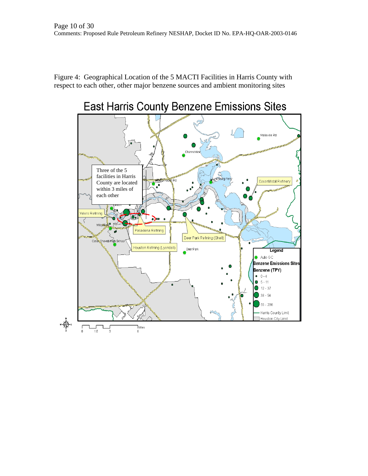Figure 4: Geographical Location of the 5 MACTI Facilities in Harris County with respect to each other, other major benzene sources and ambient monitoring sites

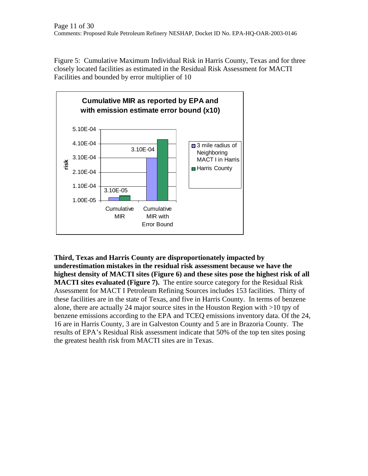Figure 5: Cumulative Maximum Individual Risk in Harris County, Texas and for three closely located facilities as estimated in the Residual Risk Assessment for MACTI Facilities and bounded by error multiplier of 10



**Third, Texas and Harris County are disproportionately impacted by underestimation mistakes in the residual risk assessment because we have the highest density of MACTI sites (Figure 6) and these sites pose the highest risk of all MACTI sites evaluated (Figure 7).** The entire source category for the Residual Risk Assessment for MACT I Petroleum Refining Sources includes 153 facilities. Thirty of these facilities are in the state of Texas, and five in Harris County. In terms of benzene alone, there are actually 24 major source sites in the Houston Region with >10 tpy of benzene emissions according to the EPA and TCEQ emissions inventory data. Of the 24, 16 are in Harris County, 3 are in Galveston County and 5 are in Brazoria County. The results of EPA's Residual Risk assessment indicate that 50% of the top ten sites posing the greatest health risk from MACTI sites are in Texas.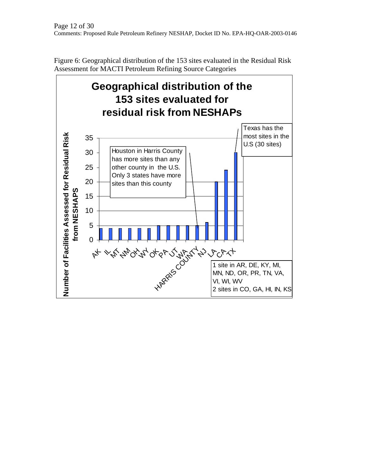

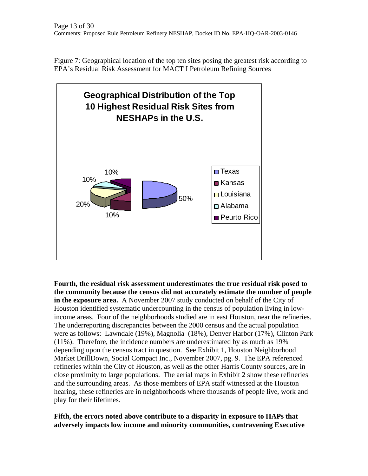Figure 7: Geographical location of the top ten sites posing the greatest risk according to EPA's Residual Risk Assessment for MACT I Petroleum Refining Sources



**Fourth, the residual risk assessment underestimates the true residual risk posed to the community because the census did not accurately estimate the number of people in the exposure area.** A November 2007 study conducted on behalf of the City of Houston identified systematic undercounting in the census of population living in lowincome areas. Four of the neighborhoods studied are in east Houston, near the refineries. The underreporting discrepancies between the 2000 census and the actual population were as follows: Lawndale (19%), Magnolia (18%), Denver Harbor (17%), Clinton Park (11%). Therefore, the incidence numbers are underestimated by as much as 19% depending upon the census tract in question. See Exhibit 1, Houston Neighborhood Market DrillDown, Social Compact Inc., November 2007, pg. 9. The EPA referenced refineries within the City of Houston, as well as the other Harris County sources, are in close proximity to large populations. The aerial maps in Exhibit 2 show these refineries and the surrounding areas. As those members of EPA staff witnessed at the Houston hearing, these refineries are in neighborhoods where thousands of people live, work and play for their lifetimes.

**Fifth, the errors noted above contribute to a disparity in exposure to HAPs that adversely impacts low income and minority communities, contravening Executive**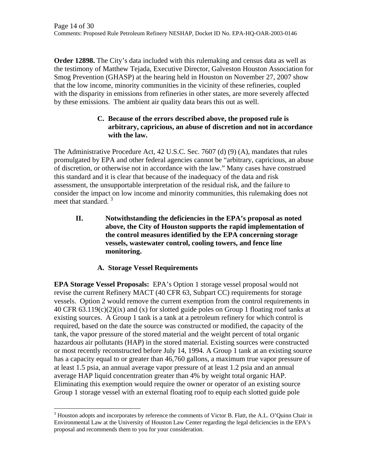**Order 12898.** The City's data included with this rulemaking and census data as well as the testimony of Matthew Tejada, Executive Director, Galveston Houston Association for Smog Prevention (GHASP) at the hearing held in Houston on November 27, 2007 show that the low income, minority communities in the vicinity of these refineries, coupled with the disparity in emissions from refineries in other states, are more severely affected by these emissions. The ambient air quality data bears this out as well.

### **C. Because of the errors described above, the proposed rule is arbitrary, capricious, an abuse of discretion and not in accordance with the law.**

The Administrative Procedure Act, 42 U.S.C. Sec. 7607 (d) (9) (A), mandates that rules promulgated by EPA and other federal agencies cannot be "arbitrary, capricious, an abuse of discretion, or otherwise not in accordance with the law." Many cases have construed this standard and it is clear that because of the inadequacy of the data and risk assessment, the unsupportable interpretation of the residual risk, and the failure to consider the impact on low income and minority communities, this rulemaking does not meet that standard.<sup>3</sup>

**II. Notwithstanding the deficiencies in the EPA's proposal as noted above, the City of Houston supports the rapid implementation of the control measures identified by the EPA concerning storage vessels, wastewater control, cooling towers, and fence line monitoring.** 

# **A. Storage Vessel Requirements**

**EPA Storage Vessel Proposals:** EPA's Option 1 storage vessel proposal would not revise the current Refinery MACT (40 CFR 63, Subpart CC) requirements for storage vessels. Option 2 would remove the current exemption from the control requirements in 40 CFR 63.119(c)(2)(ix) and (x) for slotted guide poles on Group 1 floating roof tanks at existing sources. A Group 1 tank is a tank at a petroleum refinery for which control is required, based on the date the source was constructed or modified, the capacity of the tank, the vapor pressure of the stored material and the weight percent of total organic hazardous air pollutants (HAP) in the stored material. Existing sources were constructed or most recently reconstructed before July 14, 1994. A Group 1 tank at an existing source has a capacity equal to or greater than 46,760 gallons, a maximum true vapor pressure of at least 1.5 psia, an annual average vapor pressure of at least 1.2 psia and an annual average HAP liquid concentration greater than 4% by weight total organic HAP. Eliminating this exemption would require the owner or operator of an existing source Group 1 storage vessel with an external floating roof to equip each slotted guide pole

 $\overline{a}$  $3$  Houston adopts and incorporates by reference the comments of Victor B. Flatt, the A.L. O'Quinn Chair in Environmental Law at the University of Houston Law Center regarding the legal deficiencies in the EPA's proposal and recommends them to you for your consideration.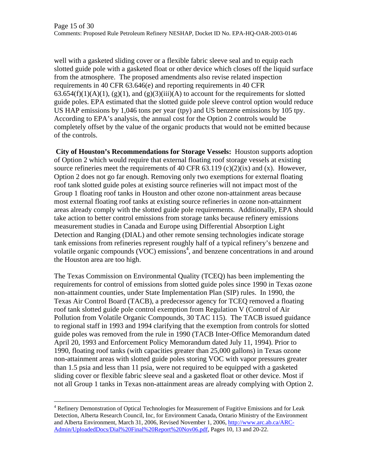well with a gasketed sliding cover or a flexible fabric sleeve seal and to equip each slotted guide pole with a gasketed float or other device which closes off the liquid surface from the atmosphere. The proposed amendments also revise related inspection requirements in 40 CFR 63.646(e) and reporting requirements in 40 CFR  $63.654(f)(1)(A)(1)$ ,  $(g)(1)$ , and  $(g)(3)(iii)(A)$  to account for the requirements for slotted guide poles. EPA estimated that the slotted guide pole sleeve control option would reduce US HAP emissions by 1,046 tons per year (tpy) and US benzene emissions by 105 tpy. According to EPA's analysis, the annual cost for the Option 2 controls would be completely offset by the value of the organic products that would not be emitted because of the controls.

 **City of Houston's Recommendations for Storage Vessels:** Houston supports adoption of Option 2 which would require that external floating roof storage vessels at existing source refineries meet the requirements of 40 CFR 63.119 (c)(2)(ix) and (x). However, Option 2 does not go far enough. Removing only two exemptions for external floating roof tank slotted guide poles at existing source refineries will not impact most of the Group 1 floating roof tanks in Houston and other ozone non-attainment areas because most external floating roof tanks at existing source refineries in ozone non-attainment areas already comply with the slotted guide pole requirements. Additionally, EPA should take action to better control emissions from storage tanks because refinery emissions measurement studies in Canada and Europe using Differential Absorption Light Detection and Ranging (DIAL) and other remote sensing technologies indicate storage tank emissions from refineries represent roughly half of a typical refinery's benzene and volatile organic compounds  $(VOC)$  emissions<sup>4</sup>, and benzene concentrations in and around the Houston area are too high.

The Texas Commission on Environmental Quality (TCEQ) has been implementing the requirements for control of emissions from slotted guide poles since 1990 in Texas ozone non-attainment counties, under State Implementation Plan (SIP) rules. In 1990, the Texas Air Control Board (TACB), a predecessor agency for TCEQ removed a floating roof tank slotted guide pole control exemption from Regulation V (Control of Air Pollution from Volatile Organic Compounds, 30 TAC 115). The TACB issued guidance to regional staff in 1993 and 1994 clarifying that the exemption from controls for slotted guide poles was removed from the rule in 1990 (TACB Inter-Office Memorandum dated April 20, 1993 and Enforcement Policy Memorandum dated July 11, 1994). Prior to 1990, floating roof tanks (with capacities greater than 25,000 gallons) in Texas ozone non-attainment areas with slotted guide poles storing VOC with vapor pressures greater than 1.5 psia and less than 11 psia, were not required to be equipped with a gasketed sliding cover or flexible fabric sleeve seal and a gasketed float or other device. Most if not all Group 1 tanks in Texas non-attainment areas are already complying with Option 2.

 $\overline{a}$ 

<sup>&</sup>lt;sup>4</sup> Refinery Demonstration of Optical Technologies for Measurement of Fugitive Emissions and for Leak Detection, Alberta Research Council, Inc, for Environment Canada, Ontario Ministry of the Environment and Alberta Environment, March 31, 2006, Revised November 1, 2006, http://www.arc.ab.ca/ARC-Admin/UploadedDocs/Dial%20Final%20Report%20Nov06.pdf, Pages 10, 13 and 20-22.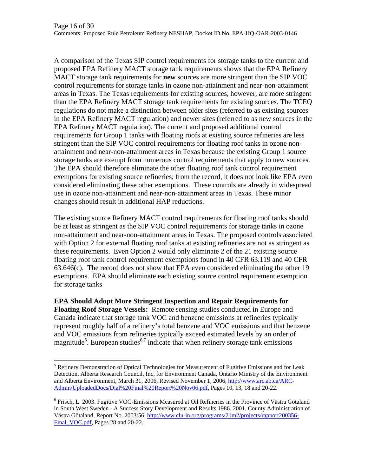A comparison of the Texas SIP control requirements for storage tanks to the current and proposed EPA Refinery MACT storage tank requirements shows that the EPA Refinery MACT storage tank requirements for **new** sources are more stringent than the SIP VOC control requirements for storage tanks in ozone non-attainment and near-non-attainment areas in Texas. The Texas requirements for existing sources, however, are more stringent than the EPA Refinery MACT storage tank requirements for existing sources. The TCEQ regulations do not make a distinction between older sites (referred to as existing sources in the EPA Refinery MACT regulation) and newer sites (referred to as new sources in the EPA Refinery MACT regulation). The current and proposed additional control requirements for Group 1 tanks with floating roofs at existing source refineries are less stringent than the SIP VOC control requirements for floating roof tanks in ozone nonattainment and near-non-attainment areas in Texas because the existing Group 1 source storage tanks are exempt from numerous control requirements that apply to new sources. The EPA should therefore eliminate the other floating roof tank control requirement exemptions for existing source refineries; from the record, it does not look like EPA even considered eliminating these other exemptions. These controls are already in widespread use in ozone non-attainment and near-non-attainment areas in Texas. These minor changes should result in additional HAP reductions.

The existing source Refinery MACT control requirements for floating roof tanks should be at least as stringent as the SIP VOC control requirements for storage tanks in ozone non-attainment and near-non-attainment areas in Texas. The proposed controls associated with Option 2 for external floating roof tanks at existing refineries are not as stringent as these requirements. Even Option 2 would only eliminate 2 of the 21 existing source floating roof tank control requirement exemptions found in 40 CFR 63.119 and 40 CFR 63.646(c). The record does not show that EPA even considered eliminating the other 19 exemptions. EPA should eliminate each existing source control requirement exemption for storage tanks

**EPA Should Adopt More Stringent Inspection and Repair Requirements for Floating Roof Storage Vessels:** Remote sensing studies conducted in Europe and Canada indicate that storage tank VOC and benzene emissions at refineries typically represent roughly half of a refinery's total benzene and VOC emissions and that benzene and VOC emissions from refineries typically exceed estimated levels by an order of magnitude<sup>5</sup>. European studies<sup>6,7</sup> indicate that when refinery storage tank emissions

 $\overline{a}$ 

<sup>&</sup>lt;sup>5</sup> Refinery Demonstration of Optical Technologies for Measurement of Fugitive Emissions and for Leak Detection, Alberta Research Council, Inc, for Environment Canada, Ontario Ministry of the Environment and Alberta Environment, March 31, 2006, Revised November 1, 2006, http://www.arc.ab.ca/ARC-Admin/UploadedDocs/Dial%20Final%20Report%20Nov06.pdf, Pages 10, 13, 18 and 20-22.

<sup>&</sup>lt;sup>6</sup> Frisch, L. 2003. Fugitive VOC-Emissions Measured at Oil Refineries in the Province of Västra Götaland in South West Sweden - A Success Story Development and Results 1986–2001. County Administration of Västra Götaland, Report No. 2003:56. http://www.clu-in.org/programs/21m2/projects/rapport200356- Final\_VOC.pdf, Pages 28 and 20-22.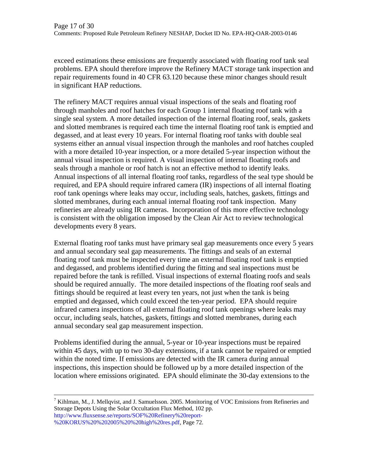exceed estimations these emissions are frequently associated with floating roof tank seal problems. EPA should therefore improve the Refinery MACT storage tank inspection and repair requirements found in 40 CFR 63.120 because these minor changes should result in significant HAP reductions.

The refinery MACT requires annual visual inspections of the seals and floating roof through manholes and roof hatches for each Group 1 internal floating roof tank with a single seal system. A more detailed inspection of the internal floating roof, seals, gaskets and slotted membranes is required each time the internal floating roof tank is emptied and degassed, and at least every 10 years. For internal floating roof tanks with double seal systems either an annual visual inspection through the manholes and roof hatches coupled with a more detailed 10-year inspection, or a more detailed 5-year inspection without the annual visual inspection is required. A visual inspection of internal floating roofs and seals through a manhole or roof hatch is not an effective method to identify leaks. Annual inspections of all internal floating roof tanks, regardless of the seal type should be required, and EPA should require infrared camera (IR) inspections of all internal floating roof tank openings where leaks may occur, including seals, hatches, gaskets, fittings and slotted membranes, during each annual internal floating roof tank inspection. Many refineries are already using IR cameras. Incorporation of this more effective technology is consistent with the obligation imposed by the Clean Air Act to review technological developments every 8 years.

External floating roof tanks must have primary seal gap measurements once every 5 years and annual secondary seal gap measurements. The fittings and seals of an external floating roof tank must be inspected every time an external floating roof tank is emptied and degassed, and problems identified during the fitting and seal inspections must be repaired before the tank is refilled. Visual inspections of external floating roofs and seals should be required annually. The more detailed inspections of the floating roof seals and fittings should be required at least every ten years, not just when the tank is being emptied and degassed, which could exceed the ten-year period. EPA should require infrared camera inspections of all external floating roof tank openings where leaks may occur, including seals, hatches, gaskets, fittings and slotted membranes, during each annual secondary seal gap measurement inspection.

Problems identified during the annual, 5-year or 10-year inspections must be repaired within 45 days, with up to two 30-day extensions, if a tank cannot be repaired or emptied within the noted time. If emissions are detected with the IR camera during annual inspections, this inspection should be followed up by a more detailed inspection of the location where emissions originated. EPA should eliminate the 30-day extensions to the

-<br>7 <sup>7</sup> Kihlman, M., J. Mellqvist, and J. Samuelsson. 2005. Monitoring of VOC Emissions from Refineries and Storage Depots Using the Solar Occultation Flux Method, 102 pp. http://www.fluxsense.se/reports/SOF%20Refinery%20report- %20KORUS%20%202005%20%20high%20res.pdf, Page 72.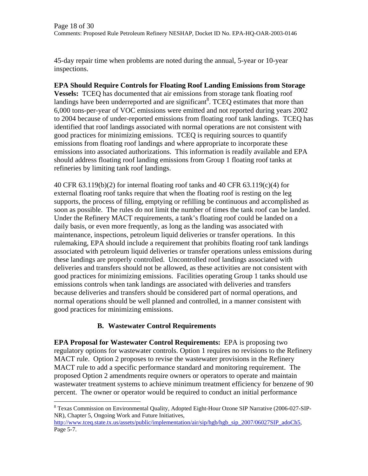45-day repair time when problems are noted during the annual, 5-year or 10-year inspections.

#### **EPA Should Require Controls for Floating Roof Landing Emissions from Storage**

**Vessels:** TCEQ has documented that air emissions from storage tank floating roof landings have been underreported and are significant<sup>8</sup>. TCEQ estimates that more than 6,000 tons-per-year of VOC emissions were emitted and not reported during years 2002 to 2004 because of under-reported emissions from floating roof tank landings. TCEQ has identified that roof landings associated with normal operations are not consistent with good practices for minimizing emissions. TCEQ is requiring sources to quantify emissions from floating roof landings and where appropriate to incorporate these emissions into associated authorizations. This information is readily available and EPA should address floating roof landing emissions from Group 1 floating roof tanks at refineries by limiting tank roof landings.

40 CFR 63.119(b)(2) for internal floating roof tanks and 40 CFR 63.119(c)(4) for external floating roof tanks require that when the floating roof is resting on the leg supports, the process of filling, emptying or refilling be continuous and accomplished as soon as possible. The rules do not limit the number of times the tank roof can be landed. Under the Refinery MACT requirements, a tank's floating roof could be landed on a daily basis, or even more frequently, as long as the landing was associated with maintenance, inspections, petroleum liquid deliveries or transfer operations. In this rulemaking, EPA should include a requirement that prohibits floating roof tank landings associated with petroleum liquid deliveries or transfer operations unless emissions during these landings are properly controlled. Uncontrolled roof landings associated with deliveries and transfers should not be allowed, as these activities are not consistent with good practices for minimizing emissions. Facilities operating Group 1 tanks should use emissions controls when tank landings are associated with deliveries and transfers because deliveries and transfers should be considered part of normal operations, and normal operations should be well planned and controlled, in a manner consistent with good practices for minimizing emissions.

### **B. Wastewater Control Requirements**

 $\overline{a}$ 

**EPA Proposal for Wastewater Control Requirements:** EPA is proposing two regulatory options for wastewater controls. Option 1 requires no revisions to the Refinery MACT rule. Option 2 proposes to revise the wastewater provisions in the Refinery MACT rule to add a specific performance standard and monitoring requirement. The proposed Option 2 amendments require owners or operators to operate and maintain wastewater treatment systems to achieve minimum treatment efficiency for benzene of 90 percent. The owner or operator would be required to conduct an initial performance

<sup>&</sup>lt;sup>8</sup> Texas Commission on Environmental Quality, Adopted Eight-Hour Ozone SIP Narrative (2006-027-SIP-NR), Chapter 5, Ongoing Work and Future Initiatives,

http://www.tceq.state.tx.us/assets/public/implementation/air/sip/hgb/hgb\_sip\_2007/06027SIP\_adoCh5, Page 5-7.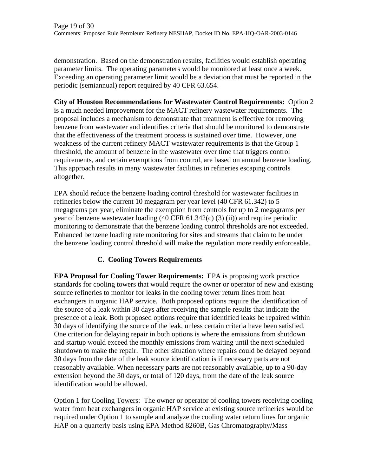demonstration. Based on the demonstration results, facilities would establish operating parameter limits. The operating parameters would be monitored at least once a week. Exceeding an operating parameter limit would be a deviation that must be reported in the periodic (semiannual) report required by 40 CFR 63.654.

**City of Houston Recommendations for Wastewater Control Requirements:** Option 2 is a much needed improvement for the MACT refinery wastewater requirements. The proposal includes a mechanism to demonstrate that treatment is effective for removing benzene from wastewater and identifies criteria that should be monitored to demonstrate that the effectiveness of the treatment process is sustained over time. However, one weakness of the current refinery MACT wastewater requirements is that the Group 1 threshold, the amount of benzene in the wastewater over time that triggers control requirements, and certain exemptions from control, are based on annual benzene loading. This approach results in many wastewater facilities in refineries escaping controls altogether.

EPA should reduce the benzene loading control threshold for wastewater facilities in refineries below the current 10 megagram per year level (40 CFR 61.342) to 5 megagrams per year, eliminate the exemption from controls for up to 2 megagrams per year of benzene wastewater loading (40 CFR 61.342(c) (3) (ii)) and require periodic monitoring to demonstrate that the benzene loading control thresholds are not exceeded. Enhanced benzene loading rate monitoring for sites and streams that claim to be under the benzene loading control threshold will make the regulation more readily enforceable.

# **C. Cooling Towers Requirements**

**EPA Proposal for Cooling Tower Requirements:** EPA is proposing work practice standards for cooling towers that would require the owner or operator of new and existing source refineries to monitor for leaks in the cooling tower return lines from heat exchangers in organic HAP service. Both proposed options require the identification of the source of a leak within 30 days after receiving the sample results that indicate the presence of a leak. Both proposed options require that identified leaks be repaired within 30 days of identifying the source of the leak, unless certain criteria have been satisfied. One criterion for delaying repair in both options is where the emissions from shutdown and startup would exceed the monthly emissions from waiting until the next scheduled shutdown to make the repair. The other situation where repairs could be delayed beyond 30 days from the date of the leak source identification is if necessary parts are not reasonably available. When necessary parts are not reasonably available, up to a 90-day extension beyond the 30 days, or total of 120 days, from the date of the leak source identification would be allowed.

Option 1 for Cooling Towers: The owner or operator of cooling towers receiving cooling water from heat exchangers in organic HAP service at existing source refineries would be required under Option 1 to sample and analyze the cooling water return lines for organic HAP on a quarterly basis using EPA Method 8260B, Gas Chromatography/Mass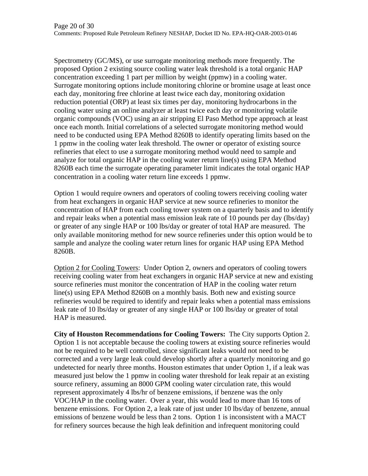Spectrometry (GC/MS), or use surrogate monitoring methods more frequently. The proposed Option 2 existing source cooling water leak threshold is a total organic HAP concentration exceeding 1 part per million by weight (ppmw) in a cooling water. Surrogate monitoring options include monitoring chlorine or bromine usage at least once each day, monitoring free chlorine at least twice each day, monitoring oxidation reduction potential (ORP) at least six times per day, monitoring hydrocarbons in the cooling water using an online analyzer at least twice each day or monitoring volatile organic compounds (VOC) using an air stripping El Paso Method type approach at least once each month. Initial correlations of a selected surrogate monitoring method would need to be conducted using EPA Method 8260B to identify operating limits based on the 1 ppmw in the cooling water leak threshold. The owner or operator of existing source refineries that elect to use a surrogate monitoring method would need to sample and analyze for total organic HAP in the cooling water return line(s) using EPA Method 8260B each time the surrogate operating parameter limit indicates the total organic HAP concentration in a cooling water return line exceeds 1 ppmw.

Option 1 would require owners and operators of cooling towers receiving cooling water from heat exchangers in organic HAP service at new source refineries to monitor the concentration of HAP from each cooling tower system on a quarterly basis and to identify and repair leaks when a potential mass emission leak rate of 10 pounds per day (lbs/day) or greater of any single HAP or 100 lbs/day or greater of total HAP are measured. The only available monitoring method for new source refineries under this option would be to sample and analyze the cooling water return lines for organic HAP using EPA Method 8260B.

Option 2 for Cooling Towers: Under Option 2, owners and operators of cooling towers receiving cooling water from heat exchangers in organic HAP service at new and existing source refineries must monitor the concentration of HAP in the cooling water return line(s) using EPA Method 8260B on a monthly basis. Both new and existing source refineries would be required to identify and repair leaks when a potential mass emissions leak rate of 10 lbs/day or greater of any single HAP or 100 lbs/day or greater of total HAP is measured.

**City of Houston Recommendations for Cooling Towers:** The City supports Option 2. Option 1 is not acceptable because the cooling towers at existing source refineries would not be required to be well controlled, since significant leaks would not need to be corrected and a very large leak could develop shortly after a quarterly monitoring and go undetected for nearly three months. Houston estimates that under Option 1, if a leak was measured just below the 1 ppmw in cooling water threshold for leak repair at an existing source refinery, assuming an 8000 GPM cooling water circulation rate, this would represent approximately 4 lbs/hr of benzene emissions, if benzene was the only VOC/HAP in the cooling water. Over a year, this would lead to more than 16 tons of benzene emissions. For Option 2, a leak rate of just under 10 lbs/day of benzene, annual emissions of benzene would be less than 2 tons. Option 1 is inconsistent with a MACT for refinery sources because the high leak definition and infrequent monitoring could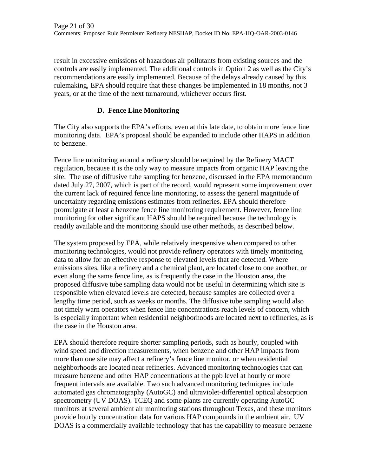result in excessive emissions of hazardous air pollutants from existing sources and the controls are easily implemented. The additional controls in Option 2 as well as the City's recommendations are easily implemented. Because of the delays already caused by this rulemaking, EPA should require that these changes be implemented in 18 months, not 3 years, or at the time of the next turnaround, whichever occurs first.

### **D. Fence Line Monitoring**

The City also supports the EPA's efforts, even at this late date, to obtain more fence line monitoring data. EPA's proposal should be expanded to include other HAPS in addition to benzene.

Fence line monitoring around a refinery should be required by the Refinery MACT regulation, because it is the only way to measure impacts from organic HAP leaving the site. The use of diffusive tube sampling for benzene, discussed in the EPA memorandum dated July 27, 2007, which is part of the record, would represent some improvement over the current lack of required fence line monitoring, to assess the general magnitude of uncertainty regarding emissions estimates from refineries. EPA should therefore promulgate at least a benzene fence line monitoring requirement. However, fence line monitoring for other significant HAPS should be required because the technology is readily available and the monitoring should use other methods, as described below.

The system proposed by EPA, while relatively inexpensive when compared to other monitoring technologies, would not provide refinery operators with timely monitoring data to allow for an effective response to elevated levels that are detected. Where emissions sites, like a refinery and a chemical plant, are located close to one another, or even along the same fence line, as is frequently the case in the Houston area, the proposed diffusive tube sampling data would not be useful in determining which site is responsible when elevated levels are detected, because samples are collected over a lengthy time period, such as weeks or months. The diffusive tube sampling would also not timely warn operators when fence line concentrations reach levels of concern, which is especially important when residential neighborhoods are located next to refineries, as is the case in the Houston area.

EPA should therefore require shorter sampling periods, such as hourly, coupled with wind speed and direction measurements, when benzene and other HAP impacts from more than one site may affect a refinery's fence line monitor, or when residential neighborhoods are located near refineries. Advanced monitoring technologies that can measure benzene and other HAP concentrations at the ppb level at hourly or more frequent intervals are available. Two such advanced monitoring techniques include automated gas chromatography (AutoGC) and ultraviolet-differential optical absorption spectrometry (UV DOAS). TCEQ and some plants are currently operating AutoGC monitors at several ambient air monitoring stations throughout Texas, and these monitors provide hourly concentration data for various HAP compounds in the ambient air. UV DOAS is a commercially available technology that has the capability to measure benzene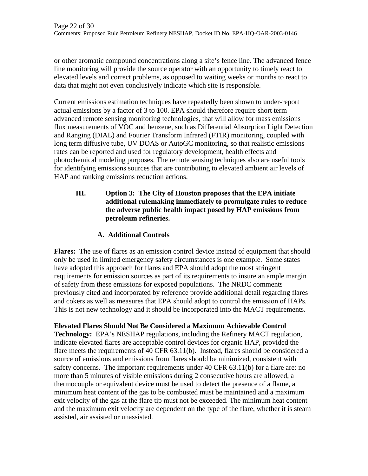or other aromatic compound concentrations along a site's fence line. The advanced fence line monitoring will provide the source operator with an opportunity to timely react to elevated levels and correct problems, as opposed to waiting weeks or months to react to data that might not even conclusively indicate which site is responsible.

Current emissions estimation techniques have repeatedly been shown to under-report actual emissions by a factor of 3 to 100. EPA should therefore require short term advanced remote sensing monitoring technologies, that will allow for mass emissions flux measurements of VOC and benzene, such as Differential Absorption Light Detection and Ranging (DIAL) and Fourier Transform Infrared (FTIR) monitoring, coupled with long term diffusive tube, UV DOAS or AutoGC monitoring, so that realistic emissions rates can be reported and used for regulatory development, health effects and photochemical modeling purposes. The remote sensing techniques also are useful tools for identifying emissions sources that are contributing to elevated ambient air levels of HAP and ranking emissions reduction actions.

### **III. Option 3: The City of Houston proposes that the EPA initiate additional rulemaking immediately to promulgate rules to reduce the adverse public health impact posed by HAP emissions from petroleum refineries.**

# **A. Additional Controls**

**Flares:** The use of flares as an emission control device instead of equipment that should only be used in limited emergency safety circumstances is one example. Some states have adopted this approach for flares and EPA should adopt the most stringent requirements for emission sources as part of its requirements to insure an ample margin of safety from these emissions for exposed populations. The NRDC comments previously cited and incorporated by reference provide additional detail regarding flares and cokers as well as measures that EPA should adopt to control the emission of HAPs. This is not new technology and it should be incorporated into the MACT requirements.

# **Elevated Flares Should Not Be Considered a Maximum Achievable Control**

**Technology:** EPA's NESHAP regulations, including the Refinery MACT regulation, indicate elevated flares are acceptable control devices for organic HAP, provided the flare meets the requirements of 40 CFR 63.11(b). Instead, flares should be considered a source of emissions and emissions from flares should be minimized, consistent with safety concerns. The important requirements under 40 CFR 63.11(b) for a flare are: no more than 5 minutes of visible emissions during 2 consecutive hours are allowed, a thermocouple or equivalent device must be used to detect the presence of a flame, a minimum heat content of the gas to be combusted must be maintained and a maximum exit velocity of the gas at the flare tip must not be exceeded. The minimum heat content and the maximum exit velocity are dependent on the type of the flare, whether it is steam assisted, air assisted or unassisted.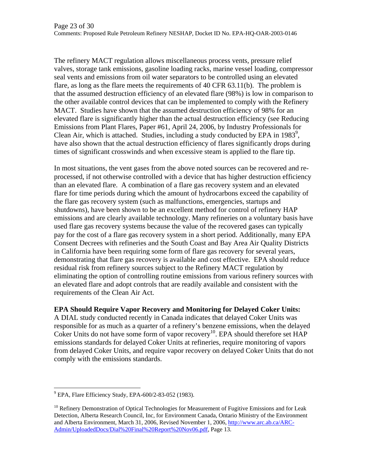The refinery MACT regulation allows miscellaneous process vents, pressure relief valves, storage tank emissions, gasoline loading racks, marine vessel loading, compressor seal vents and emissions from oil water separators to be controlled using an elevated flare, as long as the flare meets the requirements of 40 CFR 63.11(b). The problem is that the assumed destruction efficiency of an elevated flare (98%) is low in comparison to the other available control devices that can be implemented to comply with the Refinery MACT. Studies have shown that the assumed destruction efficiency of 98% for an elevated flare is significantly higher than the actual destruction efficiency (see Reducing Emissions from Plant Flares, Paper #61, April 24, 2006, by Industry Professionals for Clean Air, which is attached. Studies, including a study conducted by EPA in  $1983^9$ , have also shown that the actual destruction efficiency of flares significantly drops during times of significant crosswinds and when excessive steam is applied to the flare tip.

In most situations, the vent gases from the above noted sources can be recovered and reprocessed, if not otherwise controlled with a device that has higher destruction efficiency than an elevated flare. A combination of a flare gas recovery system and an elevated flare for time periods during which the amount of hydrocarbons exceed the capability of the flare gas recovery system (such as malfunctions, emergencies, startups and shutdowns), have been shown to be an excellent method for control of refinery HAP emissions and are clearly available technology. Many refineries on a voluntary basis have used flare gas recovery systems because the value of the recovered gases can typically pay for the cost of a flare gas recovery system in a short period. Additionally, many EPA Consent Decrees with refineries and the South Coast and Bay Area Air Quality Districts in California have been requiring some form of flare gas recovery for several years, demonstrating that flare gas recovery is available and cost effective. EPA should reduce residual risk from refinery sources subject to the Refinery MACT regulation by eliminating the option of controlling routine emissions from various refinery sources with an elevated flare and adopt controls that are readily available and consistent with the requirements of the Clean Air Act.

### **EPA Should Require Vapor Recovery and Monitoring for Delayed Coker Units:**

A DIAL study conducted recently in Canada indicates that delayed Coker Units was responsible for as much as a quarter of a refinery's benzene emissions, when the delayed Coker Units do not have some form of vapor recovery<sup>10</sup>. EPA should therefore set  $HAP$ emissions standards for delayed Coker Units at refineries, require monitoring of vapors from delayed Coker Units, and require vapor recovery on delayed Coker Units that do not comply with the emissions standards.

 9 EPA, Flare Efficiency Study, EPA-600/2-83-052 (1983).

 $10$  Refinery Demonstration of Optical Technologies for Measurement of Fugitive Emissions and for Leak Detection, Alberta Research Council, Inc, for Environment Canada, Ontario Ministry of the Environment and Alberta Environment, March 31, 2006, Revised November 1, 2006, http://www.arc.ab.ca/ARC-Admin/UploadedDocs/Dial%20Final%20Report%20Nov06.pdf, Page 13.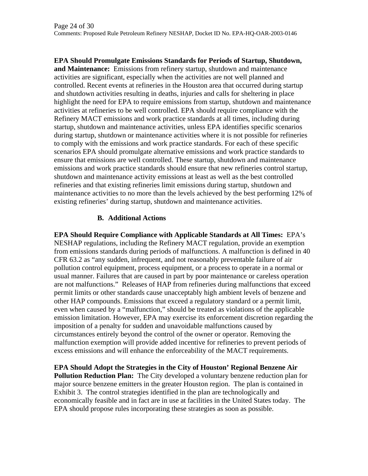**EPA Should Promulgate Emissions Standards for Periods of Startup, Shutdown, and Maintenance:** Emissions from refinery startup, shutdown and maintenance activities are significant, especially when the activities are not well planned and controlled. Recent events at refineries in the Houston area that occurred during startup and shutdown activities resulting in deaths, injuries and calls for sheltering in place highlight the need for EPA to require emissions from startup, shutdown and maintenance activities at refineries to be well controlled. EPA should require compliance with the Refinery MACT emissions and work practice standards at all times, including during startup, shutdown and maintenance activities, unless EPA identifies specific scenarios during startup, shutdown or maintenance activities where it is not possible for refineries to comply with the emissions and work practice standards. For each of these specific scenarios EPA should promulgate alternative emissions and work practice standards to ensure that emissions are well controlled. These startup, shutdown and maintenance emissions and work practice standards should ensure that new refineries control startup, shutdown and maintenance activity emissions at least as well as the best controlled refineries and that existing refineries limit emissions during startup, shutdown and maintenance activities to no more than the levels achieved by the best performing 12% of existing refineries' during startup, shutdown and maintenance activities.

### **B. Additional Actions**

**EPA Should Require Compliance with Applicable Standards at All Times:** EPA's NESHAP regulations, including the Refinery MACT regulation, provide an exemption from emissions standards during periods of malfunctions. A malfunction is defined in 40 CFR 63.2 as "any sudden, infrequent, and not reasonably preventable failure of air pollution control equipment, process equipment, or a process to operate in a normal or usual manner. Failures that are caused in part by poor maintenance or careless operation are not malfunctions." Releases of HAP from refineries during malfunctions that exceed permit limits or other standards cause unacceptably high ambient levels of benzene and other HAP compounds. Emissions that exceed a regulatory standard or a permit limit, even when caused by a "malfunction," should be treated as violations of the applicable emission limitation. However, EPA may exercise its enforcement discretion regarding the imposition of a penalty for sudden and unavoidable malfunctions caused by circumstances entirely beyond the control of the owner or operator. Removing the malfunction exemption will provide added incentive for refineries to prevent periods of excess emissions and will enhance the enforceability of the MACT requirements.

**EPA Should Adopt the Strategies in the City of Houston' Regional Benzene Air Pollution Reduction Plan:** The City developed a voluntary benzene reduction plan for major source benzene emitters in the greater Houston region. The plan is contained in Exhibit 3. The control strategies identified in the plan are technologically and economically feasible and in fact are in use at facilities in the United States today. The EPA should propose rules incorporating these strategies as soon as possible.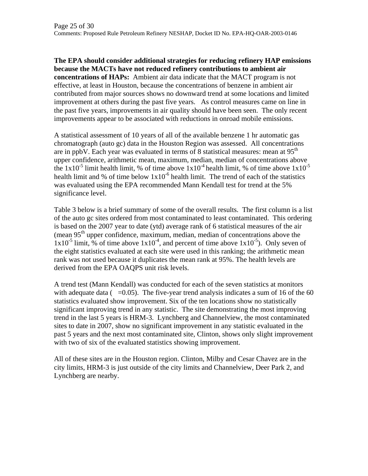**The EPA should consider additional strategies for reducing refinery HAP emissions because the MACTs have not reduced refinery contributions to ambient air concentrations of HAPs:** Ambient air data indicate that the MACT program is not effective, at least in Houston, because the concentrations of benzene in ambient air contributed from major sources shows no downward trend at some locations and limited improvement at others during the past five years. As control measures came on line in the past five years, improvements in air quality should have been seen. The only recent improvements appear to be associated with reductions in onroad mobile emissions.

A statistical assessment of 10 years of all of the available benzene 1 hr automatic gas chromatograph (auto gc) data in the Houston Region was assessed. All concentrations are in ppbV. Each year was evaluated in terms of 8 statistical measures: mean at  $95<sup>th</sup>$ upper confidence, arithmetic mean, maximum, median, median of concentrations above the  $1x10^{-5}$  limit health limit, % of time above  $1x10^{-4}$  health limit, % of time above  $1x10^{-5}$ health limit and % of time below  $1x10^{-6}$  health limit. The trend of each of the statistics was evaluated using the EPA recommended Mann Kendall test for trend at the 5% significance level.

Table 3 below is a brief summary of some of the overall results. The first column is a list of the auto gc sites ordered from most contaminated to least contaminated. This ordering is based on the 2007 year to date (ytd) average rank of 6 statistical measures of the air (mean  $95<sup>th</sup>$  upper confidence, maximum, median, median of concentrations above the  $1x10^{-5}$  limit, % of time above  $1x10^{-4}$ , and percent of time above  $1x10^{-5}$ ). Only seven of the eight statistics evaluated at each site were used in this ranking; the arithmetic mean rank was not used because it duplicates the mean rank at 95%. The health levels are derived from the EPA OAQPS unit risk levels.

A trend test (Mann Kendall) was conducted for each of the seven statistics at monitors with adequate data ( $=0.05$ ). The five-year trend analysis indicates a sum of 16 of the 60 statistics evaluated show improvement. Six of the ten locations show no statistically significant improving trend in any statistic. The site demonstrating the most improving trend in the last 5 years is HRM-3. Lynchberg and Channelview, the most contaminated sites to date in 2007, show no significant improvement in any statistic evaluated in the past 5 years and the next most contaminated site, Clinton, shows only slight improvement with two of six of the evaluated statistics showing improvement.

All of these sites are in the Houston region. Clinton, Milby and Cesar Chavez are in the city limits, HRM-3 is just outside of the city limits and Channelview, Deer Park 2, and Lynchberg are nearby.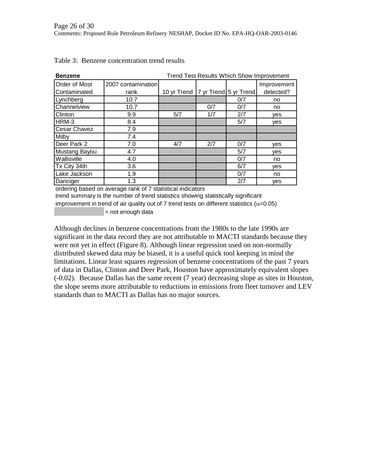| <b>Benzene</b> |                    | <b>Trend Test Results Which Show Improvement</b> |     |     |             |  |
|----------------|--------------------|--------------------------------------------------|-----|-----|-------------|--|
| Order of Most  | 2007 contamination |                                                  |     |     | Improvement |  |
| Contaminated   | rank               | 10 yr Trend   7 yr Trend 5 yr Trend              |     |     | detected?   |  |
| Lynchberg      | 10.7               |                                                  |     | 0/7 | no          |  |
| Channelview    | 10.7               |                                                  | 0/7 | 0/7 | no          |  |
| Clinton        | 9.9                | 5/7                                              | 1/7 | 2/7 | ves         |  |
| HRM-3          | 8.4                |                                                  |     | 5/7 | yes         |  |
| Cesar Chavez   | 7.9                |                                                  |     |     |             |  |
| Milby          | 7.4                |                                                  |     |     |             |  |
| Deer Park 2    | 7.0                | 4/7                                              | 2/7 | 0/7 | ves         |  |
| Mustang Bayou  | 4.7                |                                                  |     | 5/7 | <b>ves</b>  |  |
| Wallisville    | 4.0                |                                                  |     | 0/7 | no          |  |
| Tx City 34th   | 3.6                |                                                  |     | 6/7 | ves         |  |
| Lake Jackson   | 1.9                |                                                  |     | 0/7 | no          |  |
| Danciger       | 1.3                |                                                  |     | 2/7 | ves         |  |

Table 3: Benzene concentration trend results

ordering based on average rank of 7 statistical indicators

 $=$  not enough data trend summary is the number of trend statistics showing statistically significant improvement in trend of air quality out of 7 trend tests on different statistics ( $\alpha$ =0.05)

Although declines in benzene concentrations from the 1980s to the late 1990s are significant in the data record they are not attributable to MACTI standards because they were not yet in effect (Figure 8). Although linear regression used on non-normally distributed skewed data may be biased, it is a useful quick tool keeping in mind the limitations. Linear least squares regression of benzene concentrations of the past 7 years of data in Dallas, Clinton and Deer Park, Houston have approximately equivalent slopes (-0.02). Because Dallas has the same recent (7 year) decreasing slope as sites in Houston, the slope seems more attributable to reductions in emissions from fleet turnover and LEV standards than to MACTI as Dallas has no major sources.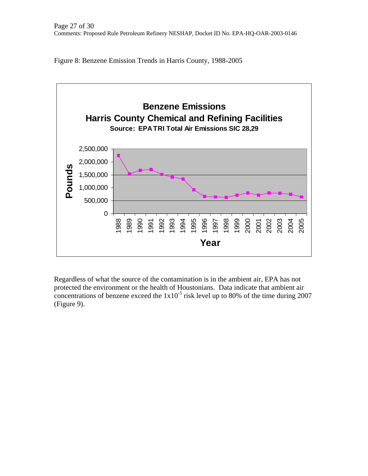Figure 8: Benzene Emission Trends in Harris County, 1988-2005



Regardless of what the source of the contamination is in the ambient air, EPA has not protected the environment or the health of Houstonians. Data indicate that ambient air concentrations of benzene exceed the  $1x10^{-5}$  risk level up to 80% of the time during 2007 (Figure 9).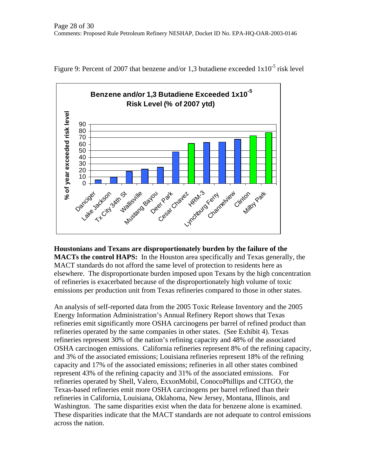

Figure 9: Percent of 2007 that benzene and/or 1,3 butadiene exceeded  $1x10^{-5}$  risk level

**Houstonians and Texans are disproportionately burden by the failure of the MACTs the control HAPS:** In the Houston area specifically and Texas generally, the MACT standards do not afford the same level of protection to residents here as elsewhere. The disproportionate burden imposed upon Texans by the high concentration of refineries is exacerbated because of the disproportionately high volume of toxic emissions per production unit from Texas refineries compared to those in other states.

An analysis of self-reported data from the 2005 Toxic Release Inventory and the 2005 Energy Information Administration's Annual Refinery Report shows that Texas refineries emit significantly more OSHA carcinogens per barrel of refined product than refineries operated by the same companies in other states. (See Exhibit 4). Texas refineries represent 30% of the nation's refining capacity and 48% of the associated OSHA carcinogen emissions. California refineries represent 8% of the refining capacity, and 3% of the associated emissions; Louisiana refineries represent 18% of the refining capacity and 17% of the associated emissions; refineries in all other states combined represent 43% of the refining capacity and 31% of the associated emissions. For refineries operated by Shell, Valero, ExxonMobil, ConocoPhillips and CITGO, the Texas-based refineries emit more OSHA carcinogens per barrel refined than their refineries in California, Louisiana, Oklahoma, New Jersey, Montana, Illinois, and Washington. The same disparities exist when the data for benzene alone is examined. These disparities indicate that the MACT standards are not adequate to control emissions across the nation.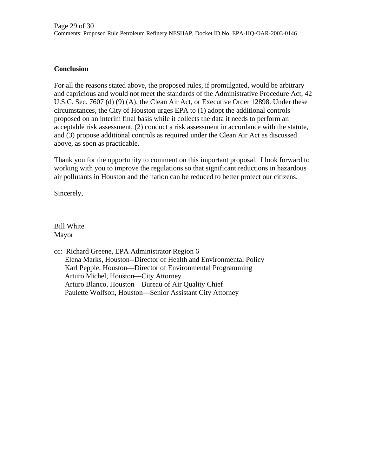### **Conclusion**

For all the reasons stated above, the proposed rules, if promulgated, would be arbitrary and capricious and would not meet the standards of the Administrative Procedure Act, 42 U.S.C. Sec. 7607 (d) (9) (A), the Clean Air Act, or Executive Order 12898. Under these circumstances, the City of Houston urges EPA to (1) adopt the additional controls proposed on an interim final basis while it collects the data it needs to perform an acceptable risk assessment, (2) conduct a risk assessment in accordance with the statute, and (3) propose additional controls as required under the Clean Air Act as discussed above, as soon as practicable.

Thank you for the opportunity to comment on this important proposal. I look forward to working with you to improve the regulations so that significant reductions in hazardous air pollutants in Houston and the nation can be reduced to better protect our citizens.

Sincerely,

Bill White Mayor

cc: Richard Greene, EPA Administrator Region 6 Elena Marks, Houston--Director of Health and Environmental Policy Karl Pepple, Houston—Director of Environmental Programming Arturo Michel, Houston—City Attorney Arturo Blanco, Houston—Bureau of Air Quality Chief Paulette Wolfson, Houston—Senior Assistant City Attorney